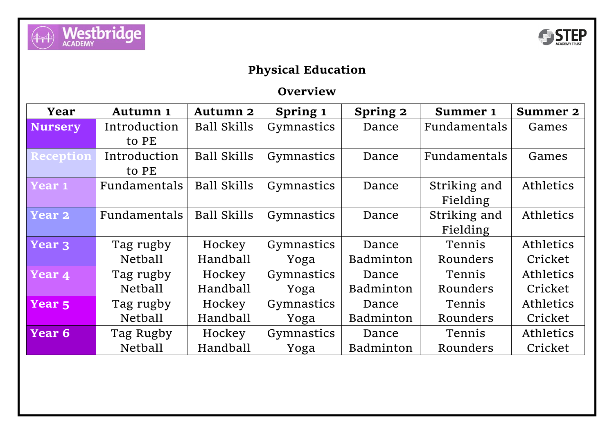



## **Physical Education**

## **Overview**

| Year              | <b>Autumn 1</b> | <b>Autumn 2</b>    | Spring 1   | Spring 2         | <b>Summer 1</b> | <b>Summer 2</b>  |
|-------------------|-----------------|--------------------|------------|------------------|-----------------|------------------|
| <b>Nursery</b>    | Introduction    | <b>Ball Skills</b> | Gymnastics | Dance            | Fundamentals    | Games            |
|                   | to PE           |                    |            |                  |                 |                  |
| Reception         | Introduction    | <b>Ball Skills</b> | Gymnastics | Dance            | Fundamentals    | Games            |
|                   | to PE           |                    |            |                  |                 |                  |
| Year 1            | Fundamentals    | <b>Ball Skills</b> | Gymnastics | Dance            | Striking and    | Athletics        |
|                   |                 |                    |            |                  | Fielding        |                  |
| <b>Year 2</b>     | Fundamentals    | <b>Ball Skills</b> | Gymnastics | Dance            | Striking and    | Athletics        |
|                   |                 |                    |            |                  | Fielding        |                  |
| Year 3            | Tag rugby       | Hockey             | Gymnastics | Dance            | Tennis          | Athletics        |
|                   | <b>Netball</b>  | Handball           | Yoga       | <b>Badminton</b> | Rounders        | Cricket          |
| Year 4            | Tag rugby       | Hockey             | Gymnastics | Dance            | Tennis          | Athletics        |
|                   | <b>Netball</b>  | Handball           | Yoga       | Badminton        | Rounders        | Cricket          |
| Year <sub>5</sub> | Tag rugby       | Hockey             | Gymnastics | Dance            | Tennis          | <b>Athletics</b> |
|                   | Netball         | Handball           | Yoga       | <b>Badminton</b> | Rounders        | Cricket          |
| Year 6            | Tag Rugby       | Hockey             | Gymnastics | Dance            | Tennis          | <b>Athletics</b> |
|                   | Netball         | Handball           | Yoga       | Badminton        | Rounders        | Cricket          |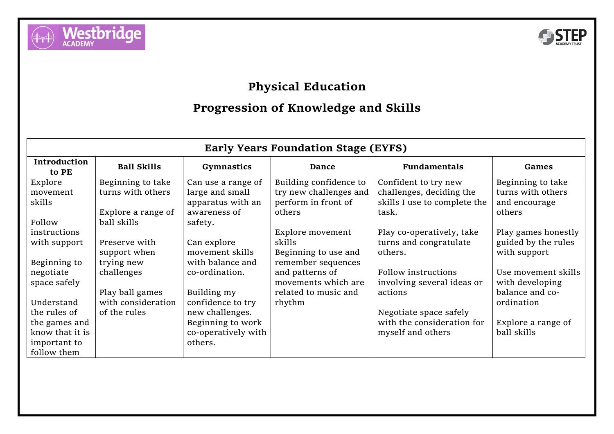



## **Physical Education**

## **Progression of Knowledge and Skills**

| <b>Early Years Foundation Stage (EYFS)</b> |                    |                     |                        |                              |                     |
|--------------------------------------------|--------------------|---------------------|------------------------|------------------------------|---------------------|
| <b>Introduction</b><br>to PE               | <b>Ball Skills</b> | <b>Gymnastics</b>   | <b>Dance</b>           | <b>Fundamentals</b>          | <b>Games</b>        |
| Explore                                    | Beginning to take  | Can use a range of  | Building confidence to | Confident to try new         | Beginning to take   |
| movement                                   | turns with others  | large and small     | try new challenges and | challenges, deciding the     | turns with others   |
| skills                                     |                    | apparatus with an   | perform in front of    | skills I use to complete the | and encourage       |
|                                            | Explore a range of | awareness of        | others                 | task.                        | others              |
| Follow                                     | ball skills        | safety.             |                        |                              |                     |
| instructions                               |                    |                     | Explore movement       | Play co-operatively, take    | Play games honestly |
| with support                               | Preserve with      | Can explore         | skills                 | turns and congratulate       | guided by the rules |
|                                            | support when       | movement skills     | Beginning to use and   | others.                      | with support        |
| Beginning to                               | trying new         | with balance and    | remember sequences     |                              |                     |
| negotiate                                  | challenges         | co-ordination.      | and patterns of        | Follow instructions          | Use movement skills |
| space safely                               |                    |                     | movements which are    | involving several ideas or   | with developing     |
|                                            | Play ball games    | Building my         | related to music and   | actions                      | balance and co-     |
| Understand                                 | with consideration | confidence to try   | rhythm                 |                              | ordination          |
| the rules of                               | of the rules       | new challenges.     |                        | Negotiate space safely       |                     |
| the games and                              |                    | Beginning to work   |                        | with the consideration for   | Explore a range of  |
| know that it is                            |                    | co-operatively with |                        | myself and others            | ball skills         |
| important to                               |                    | others.             |                        |                              |                     |
| follow them                                |                    |                     |                        |                              |                     |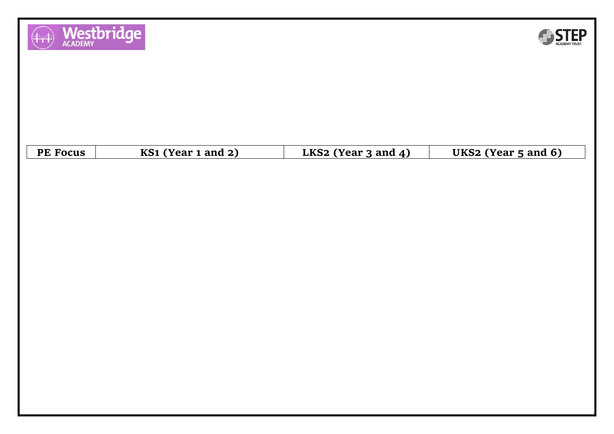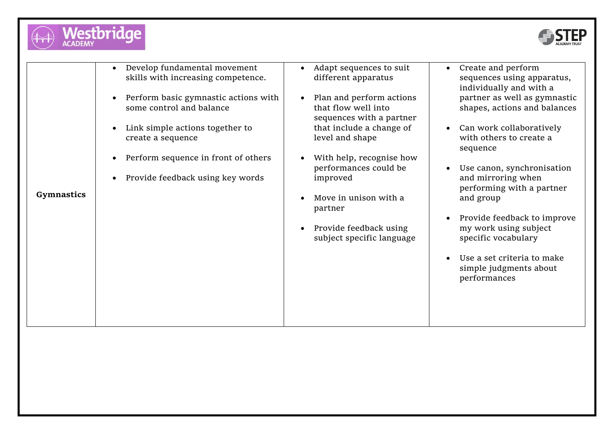



|                   | Develop fundamental movement<br>$\bullet$ | Adapt sequences to suit   | Create and perform<br>$\bullet$          |
|-------------------|-------------------------------------------|---------------------------|------------------------------------------|
|                   | skills with increasing competence.        | different apparatus       | sequences using apparatus,               |
|                   |                                           |                           | individually and with a                  |
|                   | Perform basic gymnastic actions with      | Plan and perform actions  | partner as well as gymnastic             |
|                   | some control and balance                  | that flow well into       | shapes, actions and balances             |
|                   |                                           | sequences with a partner  |                                          |
|                   | Link simple actions together to           | that include a change of  | Can work collaboratively<br>$\bullet$    |
|                   | create a sequence                         | level and shape           | with others to create a                  |
|                   |                                           |                           | sequence                                 |
|                   | Perform sequence in front of others       | With help, recognise how  |                                          |
|                   |                                           | performances could be     | Use canon, synchronisation<br>$\bullet$  |
|                   | Provide feedback using key words          | improved                  | and mirroring when                       |
|                   |                                           |                           | performing with a partner                |
| <b>Gymnastics</b> |                                           | Move in unison with a     | and group                                |
|                   |                                           | partner                   |                                          |
|                   |                                           |                           | Provide feedback to improve<br>$\bullet$ |
|                   |                                           | Provide feedback using    | my work using subject                    |
|                   |                                           | subject specific language | specific vocabulary                      |
|                   |                                           |                           |                                          |
|                   |                                           |                           | Use a set criteria to make               |
|                   |                                           |                           | simple judgments about                   |
|                   |                                           |                           | performances                             |
|                   |                                           |                           |                                          |
|                   |                                           |                           |                                          |
|                   |                                           |                           |                                          |
|                   |                                           |                           |                                          |
|                   |                                           |                           |                                          |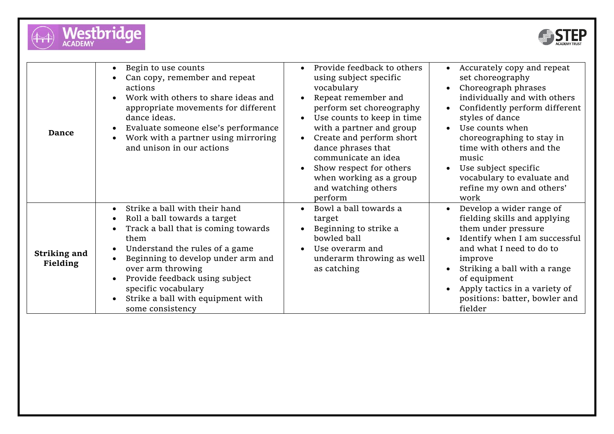



| <b>Dance</b>             | Begin to use counts<br>$\bullet$<br>Can copy, remember and repeat<br>actions<br>Work with others to share ideas and<br>appropriate movements for different<br>dance ideas.<br>Evaluate someone else's performance<br>$\bullet$<br>Work with a partner using mirroring<br>and unison in our actions                                                                                                                     | Provide feedback to others<br>using subject specific<br>vocabulary<br>Repeat remember and<br>perform set choreography<br>Use counts to keep in time<br>with a partner and group<br>Create and perform short<br>dance phrases that<br>communicate an idea<br>Show respect for others<br>when working as a group<br>and watching others<br>perform | Accurately copy and repeat<br>set choreography<br>Choreograph phrases<br>individually and with others<br>Confidently perform different<br>styles of dance<br>Use counts when<br>choreographing to stay in<br>time with others and the<br>music<br>Use subject specific<br>vocabulary to evaluate and<br>refine my own and others'<br>work |
|--------------------------|------------------------------------------------------------------------------------------------------------------------------------------------------------------------------------------------------------------------------------------------------------------------------------------------------------------------------------------------------------------------------------------------------------------------|--------------------------------------------------------------------------------------------------------------------------------------------------------------------------------------------------------------------------------------------------------------------------------------------------------------------------------------------------|-------------------------------------------------------------------------------------------------------------------------------------------------------------------------------------------------------------------------------------------------------------------------------------------------------------------------------------------|
| Striking and<br>Fielding | Strike a ball with their hand<br>$\bullet$<br>Roll a ball towards a target<br>$\bullet$<br>Track a ball that is coming towards<br>$\bullet$<br>them<br>Understand the rules of a game<br>$\bullet$<br>Beginning to develop under arm and<br>$\bullet$<br>over arm throwing<br>Provide feedback using subject<br>$\bullet$<br>specific vocabulary<br>Strike a ball with equipment with<br>$\bullet$<br>some consistency | Bowl a ball towards a<br>$\bullet$<br>target<br>Beginning to strike a<br>bowled ball<br>Use overarm and<br>underarm throwing as well<br>as catching                                                                                                                                                                                              | Develop a wider range of<br>fielding skills and applying<br>them under pressure<br>Identify when I am successful<br>and what I need to do to<br>improve<br>Striking a ball with a range<br>of equipment<br>Apply tactics in a variety of<br>positions: batter, bowler and<br>fielder                                                      |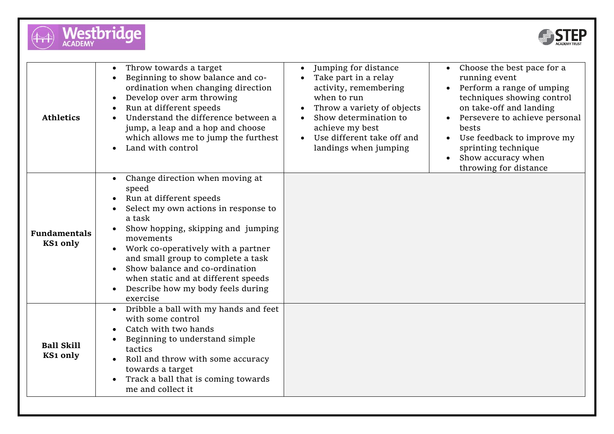



| <b>Athletics</b>                | Throw towards a target<br>Beginning to show balance and co-<br>ordination when changing direction<br>Develop over arm throwing<br>Run at different speeds<br>Understand the difference between a<br>jump, a leap and a hop and choose<br>which allows me to jump the furthest<br>Land with control                                                                                          | Jumping for distance<br>Take part in a relay<br>activity, remembering<br>when to run<br>Throw a variety of objects<br>Show determination to<br>achieve my best<br>Use different take off and<br>landings when jumping | Choose the best pace for a<br>running event<br>Perform a range of umping<br>techniques showing control<br>on take-off and landing<br>Persevere to achieve personal<br>bests<br>Use feedback to improve my<br>sprinting technique<br>Show accuracy when<br>$\bullet$<br>throwing for distance |
|---------------------------------|---------------------------------------------------------------------------------------------------------------------------------------------------------------------------------------------------------------------------------------------------------------------------------------------------------------------------------------------------------------------------------------------|-----------------------------------------------------------------------------------------------------------------------------------------------------------------------------------------------------------------------|----------------------------------------------------------------------------------------------------------------------------------------------------------------------------------------------------------------------------------------------------------------------------------------------|
| <b>Fundamentals</b><br>KS1 only | Change direction when moving at<br>speed<br>Run at different speeds<br>Select my own actions in response to<br>a task<br>Show hopping, skipping and jumping<br>movements<br>Work co-operatively with a partner<br>and small group to complete a task<br>Show balance and co-ordination<br>when static and at different speeds<br>Describe how my body feels during<br>$\bullet$<br>exercise |                                                                                                                                                                                                                       |                                                                                                                                                                                                                                                                                              |
| <b>Ball Skill</b><br>KS1 only   | Dribble a ball with my hands and feet<br>$\bullet$<br>with some control<br>Catch with two hands<br>Beginning to understand simple<br>tactics<br>Roll and throw with some accuracy<br>towards a target<br>Track a ball that is coming towards<br>me and collect it                                                                                                                           |                                                                                                                                                                                                                       |                                                                                                                                                                                                                                                                                              |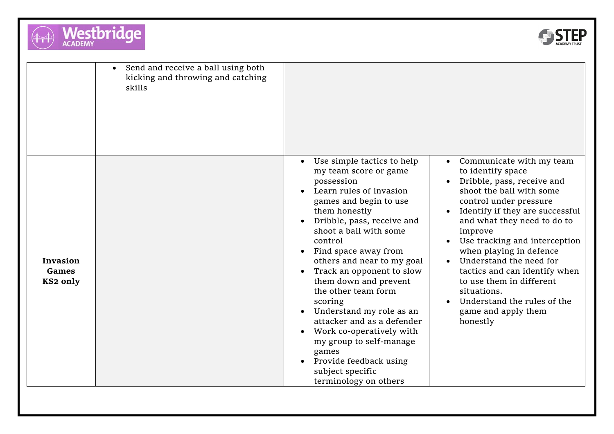



|                               | Send and receive a ball using both<br>kicking and throwing and catching<br>skills |                                                                                                                                                                                                                                                                                                                                                                                                                                                                                                                                                           |                                                                                                                                                                                                                                                                                                                                                                                                                                                     |
|-------------------------------|-----------------------------------------------------------------------------------|-----------------------------------------------------------------------------------------------------------------------------------------------------------------------------------------------------------------------------------------------------------------------------------------------------------------------------------------------------------------------------------------------------------------------------------------------------------------------------------------------------------------------------------------------------------|-----------------------------------------------------------------------------------------------------------------------------------------------------------------------------------------------------------------------------------------------------------------------------------------------------------------------------------------------------------------------------------------------------------------------------------------------------|
| Invasion<br>Games<br>KS2 only |                                                                                   | Use simple tactics to help<br>my team score or game<br>possession<br>Learn rules of invasion<br>games and begin to use<br>them honestly<br>Dribble, pass, receive and<br>shoot a ball with some<br>control<br>Find space away from<br>others and near to my goal<br>Track an opponent to slow<br>them down and prevent<br>the other team form<br>scoring<br>Understand my role as an<br>attacker and as a defender<br>Work co-operatively with<br>my group to self-manage<br>games<br>Provide feedback using<br>subject specific<br>terminology on others | Communicate with my team<br>to identify space<br>Dribble, pass, receive and<br>shoot the ball with some<br>control under pressure<br>Identify if they are successful<br>and what they need to do to<br>improve<br>Use tracking and interception<br>when playing in defence<br>Understand the need for<br>tactics and can identify when<br>to use them in different<br>situations.<br>Understand the rules of the<br>game and apply them<br>honestly |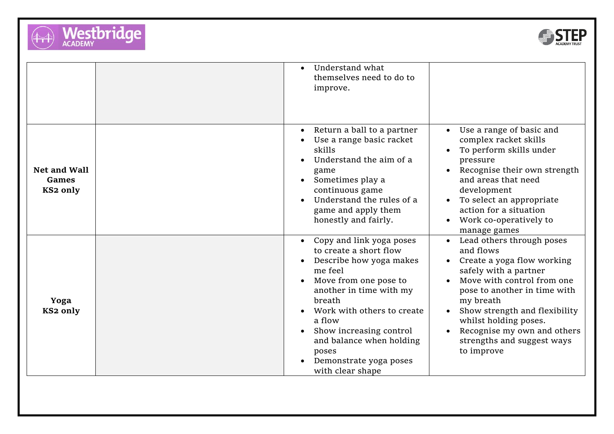



|                                   | Understand what<br>themselves need to do to<br>improve.                                                                                                                                                                                                                                                                   |                                                                                                                                                                                                                                                                                                               |
|-----------------------------------|---------------------------------------------------------------------------------------------------------------------------------------------------------------------------------------------------------------------------------------------------------------------------------------------------------------------------|---------------------------------------------------------------------------------------------------------------------------------------------------------------------------------------------------------------------------------------------------------------------------------------------------------------|
| Net and Wall<br>Games<br>KS2 only | Return a ball to a partner<br>$\bullet$<br>Use a range basic racket<br>skills<br>Understand the aim of a<br>game<br>Sometimes play a<br>continuous game<br>Understand the rules of a<br>game and apply them<br>honestly and fairly.                                                                                       | Use a range of basic and<br>$\bullet$<br>complex racket skills<br>To perform skills under<br>pressure<br>Recognise their own strength<br>and areas that need<br>development<br>To select an appropriate<br>action for a situation<br>Work co-operatively to<br>manage games                                   |
| Yoga<br>KS2 only                  | Copy and link yoga poses<br>to create a short flow<br>Describe how yoga makes<br>me feel<br>Move from one pose to<br>another in time with my<br>breath<br>Work with others to create<br>a flow<br>Show increasing control<br>$\bullet$<br>and balance when holding<br>poses<br>Demonstrate yoga poses<br>with clear shape | Lead others through poses<br>and flows<br>Create a yoga flow working<br>safely with a partner<br>Move with control from one<br>pose to another in time with<br>my breath<br>Show strength and flexibility<br>whilst holding poses.<br>Recognise my own and others<br>strengths and suggest ways<br>to improve |